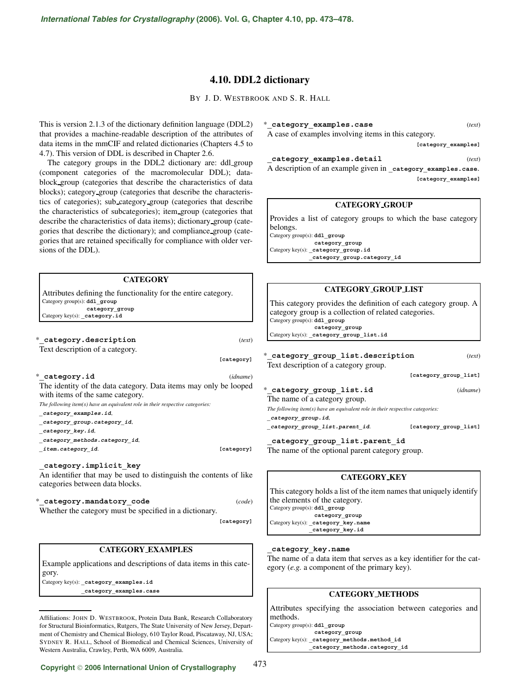# **4.10. DDL2 dictionary**

BY J. D. WESTBROOK AND S. R. HALL

This is version 2.1.3 of the dictionary definition language (DDL2) that provides a machine-readable description of the attributes of data items in the mmCIF and related dictionaries (Chapters 4.5 to 4.7). This version of DDL is described in Chapter 2.6.

The category groups in the DDL2 dictionary are: ddl group (component categories of the macromolecular DDL); datablock group (categories that describe the characteristics of data blocks); category group (categories that describe the characteristics of categories); sub category group (categories that describe the characteristics of subcategories); item group (categories that describe the characteristics of data items); dictionary group (categories that describe the dictionary); and compliance group (categories that are retained specifically for compliance with older versions of the DDL).

# **CATEGORY**

Attributes defining the functionality for the entire category. Category group(s): **ddl\_group category\_group** Category key(s): category.id

\***\_category.description** (*text*) Text description of a category.

**[category]**

\***\_category.id** (*idname*)

The identity of the data category. Data items may only be looped with items of the same category.

*The following item(s) have an equivalent role in their respective categories:*

**\_category\_examples.id**,

**\_category\_group.category\_id**,

**\_category\_key.id**,

**\_category\_methods.category\_id**,

**\_item.category\_id**. **[category]**

**\_category.implicit\_key** An identifier that may be used to distinguish the contents of like categories between data blocks.

\***\_category.mandatory\_code** (*code*)

Whether the category must be specified in a dictionary.

**[category]**

473

# **CATEGORY EXAMPLES**

Example applications and descriptions of data items in this category.

Category key(s): **\_category\_examples.id \_category\_examples.case**

Affiliations: JOHN D. WESTBROOK, Protein Data Bank, Research Collaboratory for Structural Bioinformatics, Rutgers, The State University of New Jersey, Department of Chemistry and Chemical Biology, 610 Taylor Road, Piscataway, NJ, USA; SYDNEY R. HALL, School of Biomedical and Chemical Sciences, University of Western Australia, Crawley, Perth, WA 6009, Australia.

\***\_category\_examples.case** (*text*) A case of examples involving items in this category.

**[category\_examples]**

**\_category\_examples.detail** (*text*) A description of an example given in **\_category\_examples.case**. **[category\_examples]**

#### **CATEGORY GROUP**

Provides a list of category groups to which the base category belongs.

Category group(s): **ddl\_group category\_group** Category key(s): **\_category\_group.id \_category\_group.category\_id**

### **CATEGORY GROUP LIST**

This category provides the definition of each category group. A category group is a collection of related categories. Category group(s): **ddl\_group category\_group** Category key(s): **\_category\_group\_list.id**

#### \***\_category\_group\_list.description** (*text*) Text description of a category group.

**[category\_group\_list]**

# \***\_category\_group\_list.id** (*idname*)

The name of a category group. *The following item(s) have an equivalent role in their respective categories:*

**\_category\_group.id**,

**\_category\_group\_list.parent\_id**. **[category\_group\_list]**

**\_category\_group\_list.parent\_id**

The name of the optional parent category group.

# **CATEGORY KEY**

This category holds a list of the item names that uniquely identify the elements of the category. Category group(s): **ddl\_group category\_group** Category key(s): **\_category\_key.name \_category\_key.id**

#### **\_category\_key.name**

The name of a data item that serves as a key identifier for the category (*e.g.* a component of the primary key).

#### **CATEGORY METHODS**

Attributes specifying the association between categories and methods.

Category group(s): **ddl\_group category\_group** Category key(s): **\_category\_methods.method\_id \_category\_methods.category\_id**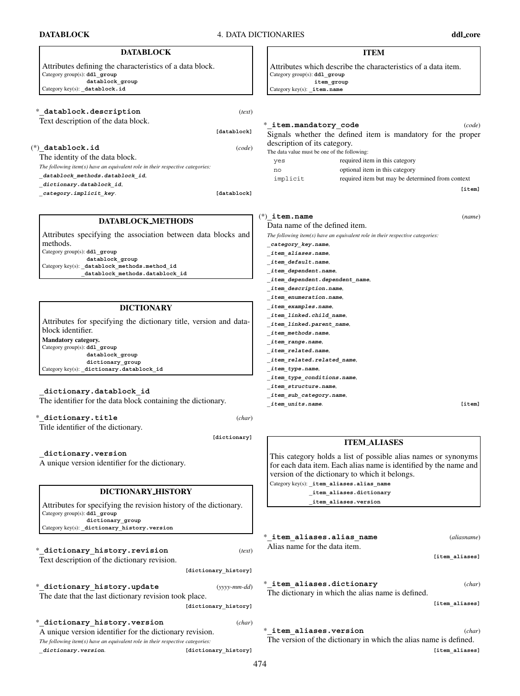**DATABLOCK** 4. DATA DICTIONARIES **ddl core**

| <b>DATABLOCK</b>                                                                                  | <b>ITEM</b>                                                                                                         |
|---------------------------------------------------------------------------------------------------|---------------------------------------------------------------------------------------------------------------------|
| Attributes defining the characteristics of a data block.<br>Category group(s): ddl_group          | Attributes which describe the characteristics of a data item.<br>Category group(s): ddl group                       |
| datablock group<br>Category key(s): datablock.id                                                  | item group<br>Category key(s): _item.name                                                                           |
|                                                                                                   |                                                                                                                     |
| * datablock.description<br>(text)<br>Text description of the data block.                          |                                                                                                                     |
| [datablock]                                                                                       | * item.mandatory code<br>(code)                                                                                     |
|                                                                                                   | Signals whether the defined item is mandatory for the proper<br>description of its category.                        |
| $(*)$ datablock.id<br>(code)<br>The identity of the data block.                                   | The data value must be one of the following:                                                                        |
| The following item $(s)$ have an equivalent role in their respective categories:                  | required item in this category<br>yes                                                                               |
| _datablock_methods.datablock_id,                                                                  | optional item in this category<br>no<br>required item but may be determined from context<br>implicit                |
| _dictionary.datablock_id,<br>[datablock]                                                          | [item]                                                                                                              |
| category.implicit_key.                                                                            |                                                                                                                     |
| DATABLOCK_METHODS                                                                                 | $(*)$ item.name<br>(name)<br>Data name of the defined item.                                                         |
| Attributes specifying the association between data blocks and                                     | The following item $(s)$ have an equivalent role in their respective categories:                                    |
| methods.                                                                                          | category_key.name,                                                                                                  |
| Category group(s): ddl_group<br>datablock group                                                   | _item_aliases.name,                                                                                                 |
| Category key(s): datablock methods.method id                                                      | <i>item default.name,</i><br>_item_dependent.name,                                                                  |
| datablock_methods.datablock_id                                                                    | _item_dependent.dependent_name,                                                                                     |
|                                                                                                   | <i>item_description.name,</i>                                                                                       |
| <b>DICTIONARY</b>                                                                                 | item_enumeration.name,<br><i>item</i> examples.name,                                                                |
|                                                                                                   | _item_linked.child_name,                                                                                            |
| Attributes for specifying the dictionary title, version and data-<br>block identifier.            | _item_linked.parent_name,                                                                                           |
| Mandatory category.                                                                               | <i>item methods.name,</i><br>_item_range.name,                                                                      |
| Category group(s): ddl_group                                                                      | <i>item_related.name,</i>                                                                                           |
| datablock_group<br>dictionary_group                                                               | _item_related.related_name,                                                                                         |
| Category key(s): _dictionary.datablock_id                                                         | item type.name,<br>_item_type_conditions.name,                                                                      |
|                                                                                                   | item structure.name,                                                                                                |
| dictionary.datablock id<br>The identifier for the data block containing the dictionary.           | _item_sub_category.name,                                                                                            |
|                                                                                                   | [item]<br><i>item_units.name.</i>                                                                                   |
| * dictionary.title<br>(char)<br>Title identifier of the dictionary.                               |                                                                                                                     |
| [dictionary]                                                                                      | <b>ITEM_ALIASES</b>                                                                                                 |
| dictionary.version_                                                                               | This category holds a list of possible alias names or synonyms                                                      |
| A unique version identifier for the dictionary.                                                   | for each data item. Each alias name is identified by the name and<br>version of the dictionary to which it belongs. |
|                                                                                                   | Category key(s): _item_aliases.alias_name                                                                           |
| DICTIONARY_HISTORY                                                                                | _item_aliases.dictionary                                                                                            |
| Attributes for specifying the revision history of the dictionary.<br>Category group(s): ddl_group | item_aliases.version                                                                                                |
| dictionary group<br>Category key(s): _dictionary_history.version                                  |                                                                                                                     |
|                                                                                                   | * item aliases.alias name<br>(aliasname)                                                                            |
| * dictionary history.revision<br>(text)                                                           | Alias name for the data item.                                                                                       |
| Text description of the dictionary revision.                                                      | [item_aliases]                                                                                                      |
| [dictionary_history]                                                                              |                                                                                                                     |
| * dictionary history.update<br>$(yyyymm-dd)$                                                      | * item aliases.dictionary<br>(char)                                                                                 |
| The date that the last dictionary revision took place.<br>[dictionary_history]                    | The dictionary in which the alias name is defined.<br>[item aliases]                                                |
| * dictionary history. version<br>(char)                                                           |                                                                                                                     |
| A unique version identifier for the dictionary revision.                                          | * item aliases.version<br>(char)                                                                                    |
| The following item(s) have an equivalent role in their respective categories:                     | The version of the dictionary in which the alias name is defined.                                                   |
| dictionary. version.<br>[dictionary history]                                                      | [item aliases]                                                                                                      |

474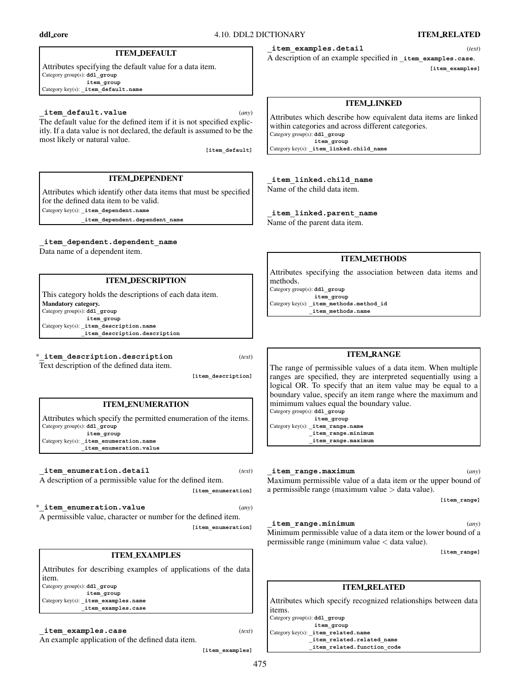#### **ITEM DEFAULT**

Attributes specifying the default value for a data item. Category group(s): **ddl** group **item\_group** Category key(s): **\_item\_default.name**

#### **\_item\_default.value** (*any*)

The default value for the defined item if it is not specified explicitly. If a data value is not declared, the default is assumed to be the most likely or natural value.

**[item\_default]**

# **ITEM DEPENDENT**

Attributes which identify other data items that must be specified for the defined data item to be valid. Category key(s): **\_item\_dependent.name**

**\_item\_dependent.dependent\_name**

**\_item\_dependent.dependent\_name** Data name of a dependent item.

#### **ITEM DESCRIPTION**

This category holds the descriptions of each data item. **Mandatory category.** Category group(s): **ddl\_group item\_group** Category key(s): **\_item\_description.name \_item\_description.description**

\***\_item\_description.description** (*text*)

Text description of the defined data item.

**[item\_description]**

**[item\_enumeration]**

# **ITEM ENUMERATION**

Attributes which specify the permitted enumeration of the items. Category group(s): **ddl\_group item\_group**

Category key(s): **\_item\_enumeration.name \_item\_enumeration.value**

**\_item\_enumeration.detail** (*text*)

A description of a permissible value for the defined item.

\***\_item\_enumeration.value** (*any*) A permissible value, character or number for the defined item. **[item\_enumeration]**

#### **ITEM EXAMPLES**

Attributes for describing examples of applications of the data item. Category group(s): **ddl\_group item\_group** Category key(s): **\_item\_examples.name**

**\_item\_examples.case**

**\_item\_examples.case** (*text*)

An example application of the defined data item.

**[item\_examples]**

**\_item\_examples.detail** (*text*)

A description of an example specified in **\_item\_examples.case**. **[item\_examples]**

### **ITEM LINKED**

Attributes which describe how equivalent data items are linked within categories and across different categories. Category group(s): **ddl\_group item\_group** Category key(s): **\_item\_linked.child\_name**

**\_item\_linked.child\_name** Name of the child data item.

**\_item\_linked.parent\_name**

Name of the parent data item.

### **ITEM METHODS**

Attributes specifying the association between data items and methods. Category group(s): **ddl\_group**

**item\_group** Category key(s): **item** methods.method id **\_item\_methods.name**

# **ITEM RANGE**

The range of permissible values of a data item. When multiple ranges are specified, they are interpreted sequentially using a logical OR. To specify that an item value may be equal to a boundary value, specify an item range where the maximum and mimimum values equal the boundary value.

Category group(s): **ddl\_group item\_group** Category key(s): **\_item\_range.name \_item\_range.minimum \_item\_range.maximum**

### **\_item\_range.maximum** (*any*)

Maximum permissible value of a data item or the upper bound of a permissible range (maximum value  $>$  data value).

**[item\_range]**

#### **\_item\_range.minimum** (*any*)

Minimum permissible value of a data item or the lower bound of a permissible range (minimum value < data value).

**[item\_range]**

# **ITEM RELATED**

Attributes which specify recognized relationships between data items.

Category group(s): **ddl\_group item\_group** Category key(s): **\_item\_related.name \_item\_related.related\_name \_item\_related.function\_code**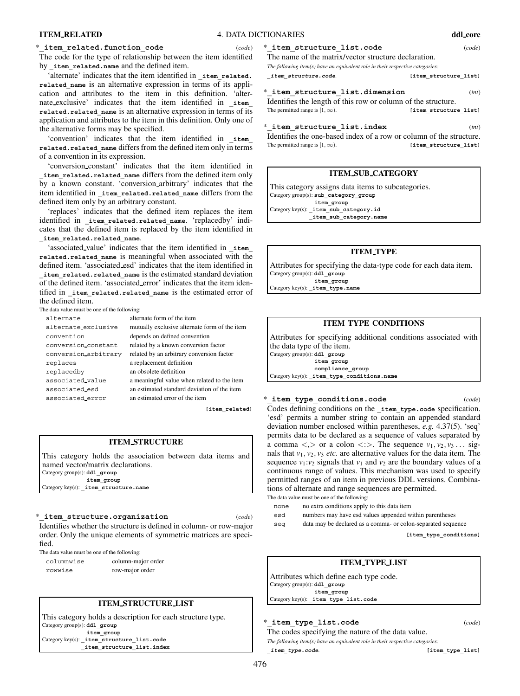#### \***\_item\_related.function\_code** (*code*)

The code for the type of relationship between the item identified by **\_item\_related.name** and the defined item.

'alternate' indicates that the item identified in **\_item\_related.** related name is an alternative expression in terms of its application and attributes to the item in this definition. 'alternate exclusive' indicates that the item identified in **\_item\_ related.related\_name** is an alternative expression in terms of its application and attributes to the item in this definition. Only one of the alternative forms may be specified.

'convention' indicates that the item identified in **\_item\_ related.related\_name** differs from the defined item only in terms of a convention in its expression.

'conversion constant' indicates that the item identified in **\_item\_related.related\_name** differs from the defined item only by a known constant. 'conversion arbitrary' indicates that the item identified in item related.related name differs from the defined item only by an arbitrary constant.

'replaces' indicates that the defined item replaces the item identified in item related.related name. 'replacedby' indicates that the defined item is replaced by the item identified in **\_item\_related.related\_name**.

'associated value' indicates that the item identified in **\_item\_ related.related\_name** is meaningful when associated with the defined item. 'associated esd' indicates that the item identified in **\_item\_related.related\_name** is the estimated standard deviation of the defined item. 'associated error' indicates that the item identified in item related.related name is the estimated error of the defined item.

The data value must be one of the following:

| alternate            | alternate form of the item                    |
|----------------------|-----------------------------------------------|
| alternate_exclusive  | mutually exclusive alternate form of the item |
| convention           | depends on defined convention                 |
| conversion_constant  | related by a known conversion factor          |
| conversion arbitrary | related by an arbitrary conversion factor     |
| replaces             | a replacement definition                      |
| replacedby           | an obsolete definition                        |
| associated value     | a meaningful value when related to the item   |
| associated_esd       | an estimated standard deviation of the item   |
| associated error     | an estimated error of the item                |

**[item\_related]**

#### **ITEM STRUCTURE**

This category holds the association between data items and named vector/matrix declarations. Category group(s): **ddl\_group item\_group** Category key(s): **\_item\_structure.name**

#### \***\_item\_structure.organization** (*code*)

Identifies whether the structure is defined in column- or row-major order. Only the unique elements of symmetric matrices are specified.

The data value must be one of the following:

columnwise column-major order rowwise row-major order

### **ITEM STRUCTURE LIST**

This category holds a description for each structure type. Category group(s): **ddl\_group item\_group**

Category key(s): **\_item\_structure\_list.code \_item\_structure\_list.index**

# \***\_item\_structure\_list.code** (*code*)

The name of the matrix/vector structure declaration. *The following item(s) have an equivalent role in their respective categories:*

**\_item\_structure.code**. **[item\_structure\_list]**

 $i$ tem structure list.dimension (*int*)

Identifies the length of this row or column of the structure. The permitted range is  $[1, \infty)$ . **[item\_structure\_list]** 

\***\_item\_structure\_list.index** (*int*) Identifies the one-based index of a row or column of the structure. The permitted range is  $[1, \infty)$ . **[item structure list]** 

### **ITEM SUB CATEGORY**

This category assigns data items to subcategories. Category group(s): sub\_category\_group **item\_group** Category key(s): **item** sub category.id **\_item\_sub\_category.name**

# **ITEM TYPE**

Attributes for specifying the data-type code for each data item. Category group(s): **ddl\_group item\_group**

Category key(s): **\_item\_type.name**

### **ITEM TYPE CONDITIONS**

Attributes for specifying additional conditions associated with the data type of the item.

Category group(s): **ddl\_group item\_group compliance\_group** Category key(s): **\_item\_type\_conditions.name**

#### \***\_item\_type\_conditions.code** (*code*)

Codes defining conditions on the **item** type.code specification. 'esd' permits a number string to contain an appended standard deviation number enclosed within parentheses, *e.g.* 4.37(5). 'seq' permits data to be declared as a sequence of values separated by a comma  $\langle \rangle$  or a colon  $\langle \rangle$ . The sequence  $v_1, v_2, v_3 \dots$  signals that  $v_1$ ,  $v_2$ ,  $v_3$  *etc.* are alternative values for the data item. The sequence  $v_1$ : $v_2$  signals that  $v_1$  and  $v_2$  are the boundary values of a continuous range of values. This mechanism was used to specify permitted ranges of an item in previous DDL versions. Combinations of alternate and range sequences are permitted. The data value must be one of the following:

- none no extra conditions apply to this data item
- esd numbers may have esd values appended within parentheses
- seq data may be declared as a comma- or colon-separated sequence

**[item\_type\_conditions]**

# **ITEM TYPE LIST**

Attributes which define each type code. Category group(s): **ddl\_group item\_group** Category key(s): **\_item\_type\_list.code**

# \***\_item\_type\_list.code** (*code*)

The codes specifying the nature of the data value. *The following item(s) have an equivalent role in their respective categories:*

**\_item\_type.code**. **[item\_type\_list]**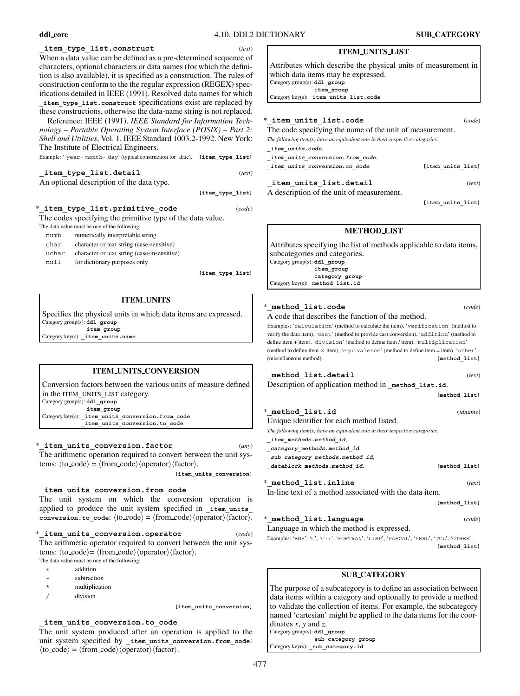#### **ITEM UNITS LIST**

Attributes which describe the physical units of measurement in which data items may be expressed. Category group(s): **ddl\_group item\_group** Category key(s): **\_item\_units\_list.code**

**[item\_type\_list]** \***\_item\_units\_list.code** (*code*) The code specifying the name of the unit of measurement. *The following item(s) have an equivalent role in their respective categories:* **\_item\_units.code**, **\_item\_units\_conversion.from\_code**, **\_item\_units\_conversion.to\_code**. **[item\_units\_list] \_item\_units\_list.detail** (*text*) A description of the unit of measurement.

**[item\_units\_list]**

# **METHOD LIST**

Attributes specifying the list of methods applicable to data items, subcategories and categories. Category group(s): **ddl\_group item\_group category\_group** Category key(s): method list.id

| * method list.code                                                                                                                                                                                                                                                                                                                                                | (code)        |
|-------------------------------------------------------------------------------------------------------------------------------------------------------------------------------------------------------------------------------------------------------------------------------------------------------------------------------------------------------------------|---------------|
| A code that describes the function of the method.                                                                                                                                                                                                                                                                                                                 |               |
| Examples: 'calculation' (method to calculate the item), 'verification' (method to<br>verify the data item), 'cast' (method to provide cast conversion), 'addition' (method to<br>define item + item), 'division' (method to define item / item), 'multiplication'<br>(method to define item $\times$ item), 'equivalence' (method to define item = item), 'other' |               |
| (miscellaneous method).                                                                                                                                                                                                                                                                                                                                           | [method list] |
| method list.detail                                                                                                                                                                                                                                                                                                                                                | (text)        |
| Description of application method in method list.id.                                                                                                                                                                                                                                                                                                              |               |
|                                                                                                                                                                                                                                                                                                                                                                   | [method list] |

| * method list.id                                                                  | (idname)      |
|-----------------------------------------------------------------------------------|---------------|
| Unique identifier for each method listed.                                         |               |
| The following item( $s$ ) have an equivalent role in their respective categories: |               |
| item methods.method id,                                                           |               |
| category methods.method id,                                                       |               |
| sub category methods.method id,                                                   |               |
| datablock methods.method id.                                                      | [method list] |
| * method list.inline                                                              | (text)        |
| In-line text of a method associated with the data item.                           |               |
|                                                                                   | [method list] |
|                                                                                   |               |

 $\text{method list.language}$  (*code*) Language in which the method is expressed. Examples: 'BNF', 'C', 'C++', 'FORTRAN', 'LISP', 'PASCAL', 'PERL', 'TCL', 'OTHER'.

**[method\_list]**

#### **SUB CATEGORY**

The purpose of a subcategory is to define an association between data items within a category and optionally to provide a method to validate the collection of items. For example, the subcategory named 'cartesian' might be applied to the data items for the coordinates *x*, *y* and *z*. Category group(s): **ddl\_group**

**sub\_category\_group** Category key(s): **\_sub\_category.id**

When a data value can be defined as a pre-determined sequence of characters, optional characters or data names (for which the definition is also available), it is specified as a construction. The rules of construction conform to the the regular expression (REGEX) specifications detailed in IEEE (1991). Resolved data names for which **\_item\_type\_list.construct** specifications exist are replaced by these constructions, otherwise the data-name string is not replaced. Reference: IEEE (1991). *IEEE Standard for Information Tech-*

*nology – Portable Operating System Interface (POSIX) – Part 2: Shell and Utilities*, Vol. 1, IEEE Standard 1003.2-1992. New York: The Institute of Electrical Engineers.

**\_item\_type\_list.construct** (*text*)

Example: ' year- month- day' (typical construction for date). **[item\_type\_list]**

| _item_type_list.detail                    | (text) |
|-------------------------------------------|--------|
| An optional description of the data type. |        |

| * item type list.primitive code                            | (code) |
|------------------------------------------------------------|--------|
| The codes specifying the primitive type of the data value. |        |
| The data value must be one of the following:               |        |
| numerically interpretable string<br>numb                   |        |

| char  | character or text string (case-sensitive)   |
|-------|---------------------------------------------|
| uchar | character or text string (case-insensitive) |
| null  | for dictionary purposes only                |

**[item\_type\_list]**

### **ITEM UNITS**

Specifies the physical units in which data items are expressed. Category group(s): **ddl\_group item\_group** Category key(s): **\_item\_units.name**

**ITEM UNITS CONVERSION**

Conversion factors between the various units of measure defined in the ITEM**\_**UNITS**\_**LIST category. Category group(s): **ddl\_group item\_group** Category key(s): **\_item\_units\_conversion.from\_code \_item\_units\_conversion.to\_code**

\***\_item\_units\_conversion.factor** (*any*)

The arithmetic operation required to convert between the unit systems:  $\langle \text{to\_code} \rangle = \langle \text{from\_code} \rangle \langle \text{operator} \rangle \langle \text{factor} \rangle$ .

**[item\_units\_conversion]**

# **\_item\_units\_conversion.from\_code**

The unit system on which the conversion operation is applied to produce the unit system specified in **item** units  $\texttt{conversion.to\_code: } \langle \texttt{to\_code} \rangle = \langle \texttt{from\_code} \rangle \langle \texttt{operator} \rangle \langle \texttt{factor} \rangle.$ 

\***\_item\_units\_conversion.operator** (*code*) The arithmetic operator required to convert between the unit systems:  $\langle \text{to\_code} \rangle = \langle \text{from\_code} \rangle \langle \text{operator} \rangle \langle \text{factor} \rangle$ . The data value must be one of the following:

- + addition
- subtraction
- \* multiplication
- / division

**[item\_units\_conversion]**

#### **\_item\_units\_conversion.to\_code**

The unit system produced after an operation is applied to the unit system specified by **\_item\_units\_conversion.from\_code**:  $\langle \text{to\_code} \rangle = \langle \text{from\_code} \rangle \langle \text{operator} \rangle \langle \text{factor} \rangle.$